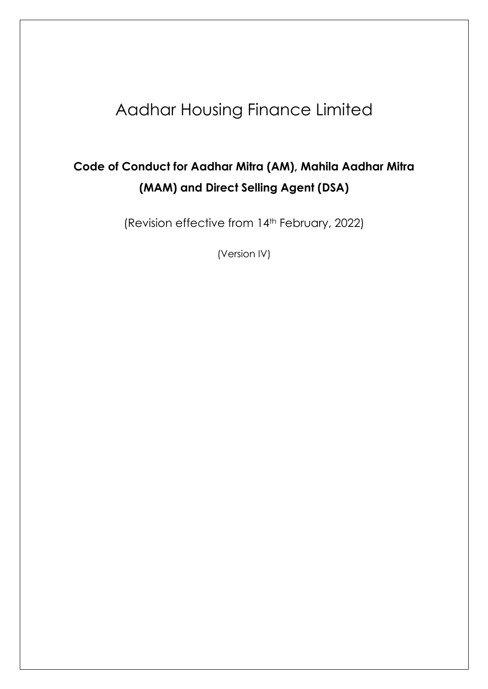# Aadhar Housing Finance Limited

# **Code of Conduct for Aadhar Mitra (AM), Mahila Aadhar Mitra (MAM) and Direct Selling Agent (DSA)**

(Revision effective from 14th February, 2022)

(Version IV)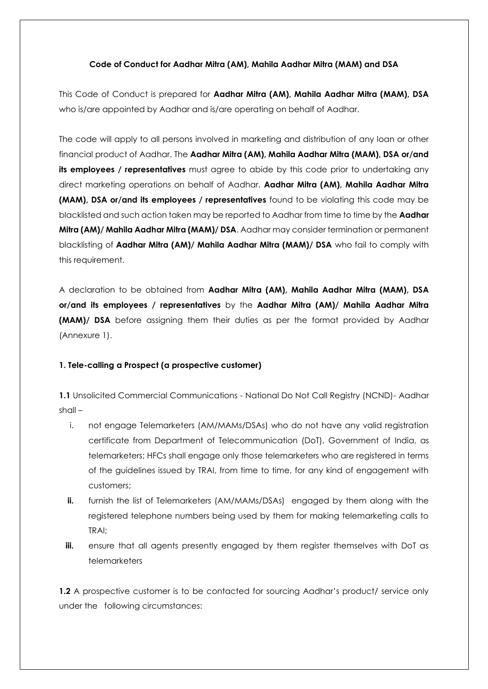#### **Code of Conduct for Aadhar Mitra (AM), Mahila Aadhar Mitra (MAM) and DSA**

This Code of Conduct is prepared for **Aadhar Mitra (AM), Mahila Aadhar Mitra (MAM), DSA** who is/are appointed by Aadhar and is/are operating on behalf of Aadhar.

The code will apply to all persons involved in marketing and distribution of any loan or other financial product of Aadhar. The **Aadhar Mitra (AM), Mahila Aadhar Mitra (MAM), DSA or/and its employees / representatives** must agree to abide by this code prior to undertaking any direct marketing operations on behalf of Aadhar. **Aadhar Mitra (AM), Mahila Aadhar Mitra (MAM), DSA or/and its employees / representatives** found to be violating this code may be blacklisted and such action taken may be reported to Aadhar from time to time by the **Aadhar Mitra (AM)/ Mahila Aadhar Mitra (MAM)/ DSA**. Aadhar may consider termination or permanent blacklisting of **Aadhar Mitra (AM)/ Mahila Aadhar Mitra (MAM)/ DSA** who fail to comply with this requirement.

A declaration to be obtained from **Aadhar Mitra (AM), Mahila Aadhar Mitra (MAM), DSA or/and its employees / representatives** by the **Aadhar Mitra (AM)/ Mahila Aadhar Mitra (MAM)/ DSA** before assigning them their duties as per the format provided by Aadhar (Annexure 1).

## **1. Tele-calling a Prospect (a prospective customer)**

**1.1** Unsolicited Commercial Communications - National Do Not Call Registry (NCND)- Aadhar shall –

- i. not engage Telemarketers (AM/MAMs/DSAs) who do not have any valid registration certificate from Department of Telecommunication (DoT), Government of India, as telemarketers; HFCs shall engage only those telemarketers who are registered in terms of the guidelines issued by TRAI, from time to time, for any kind of engagement with customers;
- **ii.** furnish the list of Telemarketers (AM/MAMs/DSAs) engaged by them along with the registered telephone numbers being used by them for making telemarketing calls to TRAI;
- **iii.** ensure that all agents presently engaged by them register themselves with DoT as telemarketers

**1.2** A prospective customer is to be contacted for sourcing Aadhar's product/ service only under the following circumstances: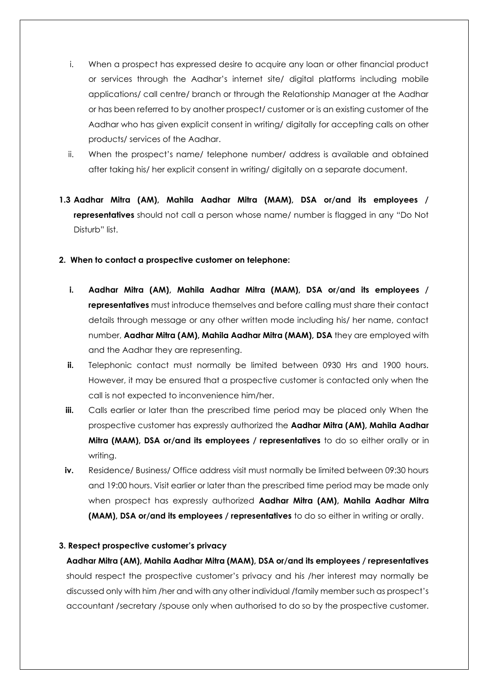- i. When a prospect has expressed desire to acquire any loan or other financial product or services through the Aadhar's internet site/ digital platforms including mobile applications/ call centre/ branch or through the Relationship Manager at the Aadhar or has been referred to by another prospect/ customer or is an existing customer of the Aadhar who has given explicit consent in writing/ digitally for accepting calls on other products/ services of the Aadhar.
- ii. When the prospect's name/ telephone number/ address is available and obtained after taking his/ her explicit consent in writing/ digitally on a separate document.
- **1.3 Aadhar Mitra (AM), Mahila Aadhar Mitra (MAM), DSA or/and its employees / representatives** should not call a person whose name/ number is flagged in any "Do Not Disturb" list.
- **2. When to contact a prospective customer on telephone:** 
	- **i. Aadhar Mitra (AM), Mahila Aadhar Mitra (MAM), DSA or/and its employees / representatives** must introduce themselves and before calling must share their contact details through message or any other written mode including his/ her name, contact number, **Aadhar Mitra (AM), Mahila Aadhar Mitra (MAM), DSA** they are employed with and the Aadhar they are representing.
	- **ii.** Telephonic contact must normally be limited between 0930 Hrs and 1900 hours. However, it may be ensured that a prospective customer is contacted only when the call is not expected to inconvenience him/her.
	- **iii.** Calls earlier or later than the prescribed time period may be placed only When the prospective customer has expressly authorized the **Aadhar Mitra (AM), Mahila Aadhar Mitra (MAM), DSA or/and its employees / representatives** to do so either orally or in writing.
	- **iv.** Residence/ Business/ Office address visit must normally be limited between 09:30 hours and 19:00 hours. Visit earlier or later than the prescribed time period may be made only when prospect has expressly authorized **Aadhar Mitra (AM), Mahila Aadhar Mitra (MAM), DSA or/and its employees / representatives** to do so either in writing or orally.

## **3. Respect prospective customer's privacy**

**Aadhar Mitra (AM), Mahila Aadhar Mitra (MAM), DSA or/and its employees / representatives** should respect the prospective customer's privacy and his /her interest may normally be discussed only with him /her and with any other individual /family member such as prospect's accountant /secretary /spouse only when authorised to do so by the prospective customer.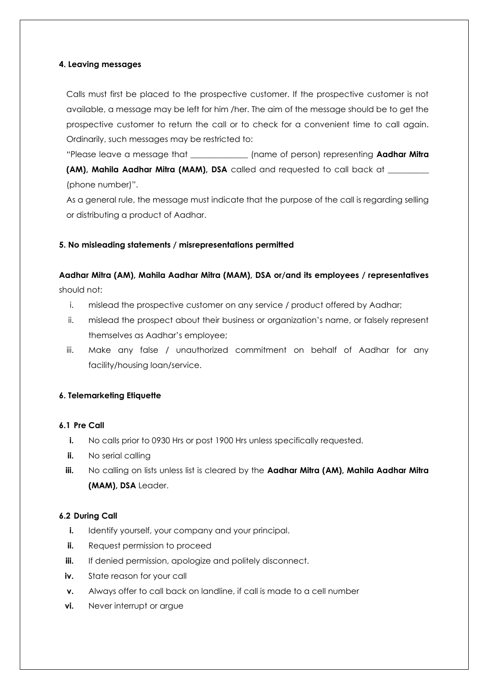#### **4. Leaving messages**

Calls must first be placed to the prospective customer. If the prospective customer is not available, a message may be left for him /her. The aim of the message should be to get the prospective customer to return the call or to check for a convenient time to call again. Ordinarily, such messages may be restricted to:

"Please leave a message that \_\_\_\_\_\_\_\_\_\_\_\_\_\_ (name of person) representing **Aadhar Mitra (AM), Mahila Aadhar Mitra (MAM), DSA** called and requested to call back at \_\_\_\_\_\_\_\_\_\_ (phone number)".

As a general rule, the message must indicate that the purpose of the call is regarding selling or distributing a product of Aadhar.

## **5. No misleading statements / misrepresentations permitted**

**Aadhar Mitra (AM), Mahila Aadhar Mitra (MAM), DSA or/and its employees / representatives** should not:

- i. mislead the prospective customer on any service / product offered by Aadhar;
- ii. mislead the prospect about their business or organization's name, or falsely represent themselves as Aadhar's employee;
- iii. Make any false / unauthorized commitment on behalf of Aadhar for any facility/housing loan/service.

## **6. Telemarketing Etiquette**

#### **6.1 Pre Call**

- **i.** No calls prior to 0930 Hrs or post 1900 Hrs unless specifically requested.
- **ii.** No serial calling
- **iii.** No calling on lists unless list is cleared by the **Aadhar Mitra (AM), Mahila Aadhar Mitra (MAM), DSA** Leader.

#### **6.2 During Call**

- **i.** Identify yourself, your company and your principal.
- **ii.** Request permission to proceed
- **iii.** If denied permission, apologize and politely disconnect.
- **iv.** State reason for your call
- **v.** Always offer to call back on landline, if call is made to a cell number
- **vi.** Never interrupt or argue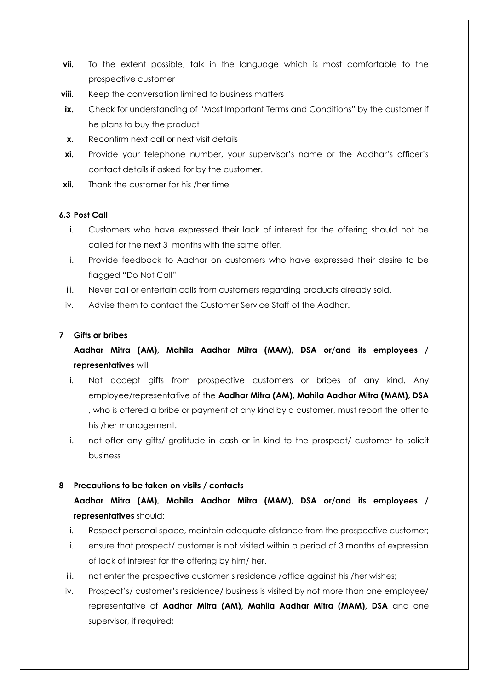- **vii.** To the extent possible, talk in the language which is most comfortable to the prospective customer
- **viii.** Keep the conversation limited to business matters
- **ix.** Check for understanding of "Most Important Terms and Conditions" by the customer if he plans to buy the product
- **x.** Reconfirm next call or next visit details
- **xi.** Provide your telephone number, your supervisor's name or the Aadhar's officer's contact details if asked for by the customer.
- **xii.** Thank the customer for his /her time

#### **6.3 Post Call**

- i. Customers who have expressed their lack of interest for the offering should not be called for the next 3 months with the same offer,
- ii. Provide feedback to Aadhar on customers who have expressed their desire to be flagged "Do Not Call"
- iii. Never call or entertain calls from customers regarding products already sold.
- iv. Advise them to contact the Customer Service Staff of the Aadhar.

#### **7 Gifts or bribes**

**Aadhar Mitra (AM), Mahila Aadhar Mitra (MAM), DSA or/and its employees / representatives** will

- i. Not accept gifts from prospective customers or bribes of any kind. Any employee/representative of the **Aadhar Mitra (AM), Mahila Aadhar Mitra (MAM), DSA**  , who is offered a bribe or payment of any kind by a customer, must report the offer to his /her management.
- ii. not offer any gifts/ gratitude in cash or in kind to the prospect/ customer to solicit business

#### **8 Precautions to be taken on visits / contacts**

## **Aadhar Mitra (AM), Mahila Aadhar Mitra (MAM), DSA or/and its employees / representatives** should:

- i. Respect personal space, maintain adequate distance from the prospective customer;
- ii. ensure that prospect/ customer is not visited within a period of 3 months of expression of lack of interest for the offering by him/ her.
- iii. not enter the prospective customer's residence /office against his /her wishes;
- iv. Prospect's/ customer's residence/ business is visited by not more than one employee/ representative of **Aadhar Mitra (AM), Mahila Aadhar Mitra (MAM), DSA** and one supervisor, if required;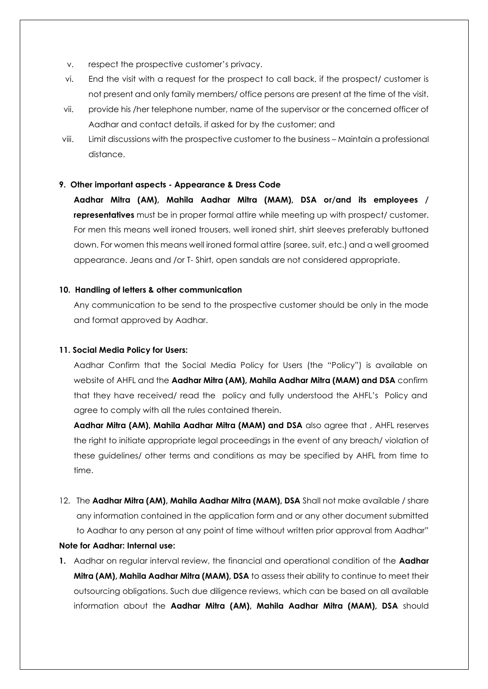- v. respect the prospective customer's privacy.
- vi. End the visit with a request for the prospect to call back, if the prospect/ customer is not present and only family members/ office persons are present at the time of the visit.
- vii. provide his /her telephone number, name of the supervisor or the concerned officer of Aadhar and contact details, if asked for by the customer; and
- viii. Limit discussions with the prospective customer to the business Maintain a professional distance.

#### **9. Other important aspects - Appearance & Dress Code**

**Aadhar Mitra (AM), Mahila Aadhar Mitra (MAM), DSA or/and its employees / representatives** must be in proper formal attire while meeting up with prospect/ customer. For men this means well ironed trousers, well ironed shirt, shirt sleeves preferably buttoned down. For women this means well ironed formal attire (saree, suit, etc.) and a well groomed appearance. Jeans and /or T- Shirt, open sandals are not considered appropriate.

#### **10. Handling of letters & other communication**

Any communication to be send to the prospective customer should be only in the mode and format approved by Aadhar.

#### **11. Social Media Policy for Users:**

Aadhar Confirm that the Social Media Policy for Users (the "Policy") is available on website of AHFL and the **Aadhar Mitra (AM), Mahila Aadhar Mitra (MAM) and DSA** confirm that they have received/ read the policy and fully understood the AHFL's Policy and agree to comply with all the rules contained therein.

**Aadhar Mitra (AM), Mahila Aadhar Mitra (MAM) and DSA** also agree that , AHFL reserves the right to initiate appropriate legal proceedings in the event of any breach/ violation of these guidelines/ other terms and conditions as may be specified by AHFL from time to time.

12. The **Aadhar Mitra (AM), Mahila Aadhar Mitra (MAM), DSA** Shall not make available / share any information contained in the application form and or any other document submitted to Aadhar to any person at any point of time without written prior approval from Aadhar"

#### **Note for Aadhar: Internal use:**

**1.** Aadhar on regular interval review, the financial and operational condition of the **Aadhar Mitra (AM), Mahila Aadhar Mitra (MAM), DSA** to assess their ability to continue to meet their outsourcing obligations. Such due diligence reviews, which can be based on all available information about the **Aadhar Mitra (AM), Mahila Aadhar Mitra (MAM), DSA** should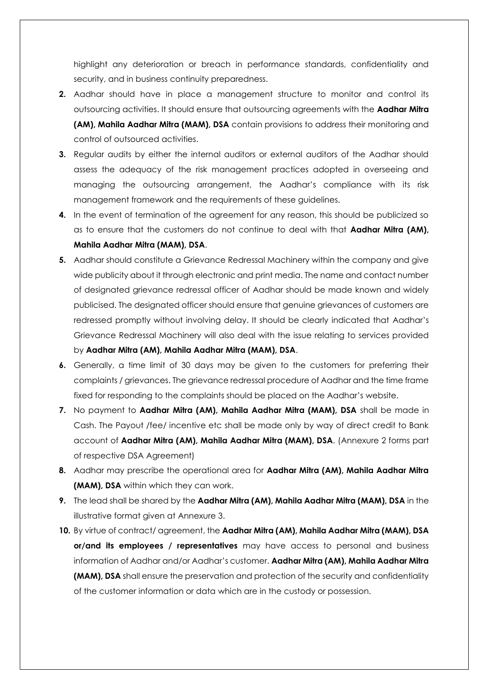highlight any deterioration or breach in performance standards, confidentiality and security, and in business continuity preparedness.

- **2.** Aadhar should have in place a management structure to monitor and control its outsourcing activities. It should ensure that outsourcing agreements with the **Aadhar Mitra (AM), Mahila Aadhar Mitra (MAM), DSA** contain provisions to address their monitoring and control of outsourced activities.
- **3.** Regular audits by either the internal auditors or external auditors of the Aadhar should assess the adequacy of the risk management practices adopted in overseeing and managing the outsourcing arrangement, the Aadhar's compliance with its risk management framework and the requirements of these guidelines.
- **4.** In the event of termination of the agreement for any reason, this should be publicized so as to ensure that the customers do not continue to deal with that **Aadhar Mitra (AM), Mahila Aadhar Mitra (MAM), DSA**.
- **5.** Aadhar should constitute a Grievance Redressal Machinery within the company and give wide publicity about it through electronic and print media. The name and contact number of designated grievance redressal officer of Aadhar should be made known and widely publicised. The designated officer should ensure that genuine grievances of customers are redressed promptly without involving delay. It should be clearly indicated that Aadhar's Grievance Redressal Machinery will also deal with the issue relating to services provided by **Aadhar Mitra (AM), Mahila Aadhar Mitra (MAM), DSA**.
- **6.** Generally, a time limit of 30 days may be given to the customers for preferring their complaints / grievances. The grievance redressal procedure of Aadhar and the time frame fixed for responding to the complaints should be placed on the Aadhar's website.
- **7.** No payment to **Aadhar Mitra (AM), Mahila Aadhar Mitra (MAM), DSA** shall be made in Cash. The Payout /fee/ incentive etc shall be made only by way of direct credit to Bank account of **Aadhar Mitra (AM), Mahila Aadhar Mitra (MAM), DSA**. (Annexure 2 forms part of respective DSA Agreement)
- **8.** Aadhar may prescribe the operational area for **Aadhar Mitra (AM), Mahila Aadhar Mitra (MAM), DSA** within which they can work.
- **9.** The lead shall be shared by the **Aadhar Mitra (AM), Mahila Aadhar Mitra (MAM), DSA** in the illustrative format given at Annexure 3.
- **10.** By virtue of contract/ agreement, the **Aadhar Mitra (AM), Mahila Aadhar Mitra (MAM), DSA or/and its employees / representatives** may have access to personal and business information of Aadhar and/or Aadhar's customer. **Aadhar Mitra (AM), Mahila Aadhar Mitra (MAM), DSA** shall ensure the preservation and protection of the security and confidentiality of the customer information or data which are in the custody or possession.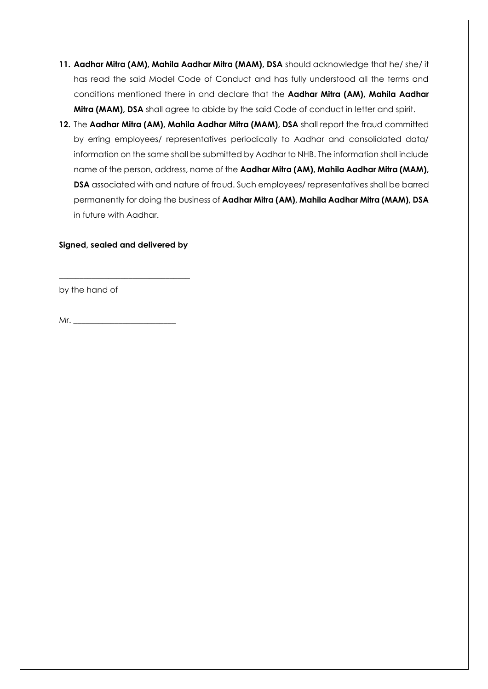- **11. Aadhar Mitra (AM), Mahila Aadhar Mitra (MAM), DSA** should acknowledge that he/ she/ it has read the said Model Code of Conduct and has fully understood all the terms and conditions mentioned there in and declare that the **Aadhar Mitra (AM), Mahila Aadhar Mitra (MAM), DSA** shall agree to abide by the said Code of conduct in letter and spirit.
- **12.** The **Aadhar Mitra (AM), Mahila Aadhar Mitra (MAM), DSA** shall report the fraud committed by erring employees/ representatives periodically to Aadhar and consolidated data/ information on the same shall be submitted by Aadhar to NHB. The information shall include name of the person, address, name of the **Aadhar Mitra (AM), Mahila Aadhar Mitra (MAM), DSA** associated with and nature of fraud. Such employees/ representatives shall be barred permanently for doing the business of **Aadhar Mitra (AM), Mahila Aadhar Mitra (MAM), DSA**  in future with Aadhar.

#### **Signed, sealed and delivered by**

\_\_\_\_\_\_\_\_\_\_\_\_\_\_\_\_\_\_\_\_\_\_\_\_\_\_\_\_\_\_\_\_

by the hand of

 $Mr.$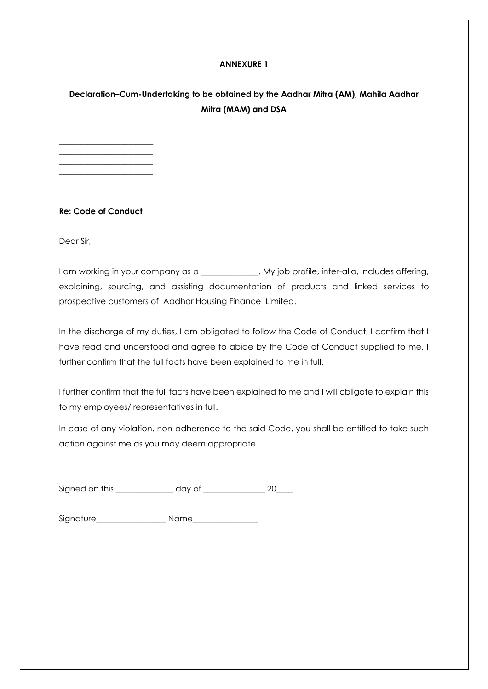#### **ANNEXURE 1**

## **Declaration–Cum-Undertaking to be obtained by the Aadhar Mitra (AM), Mahila Aadhar Mitra (MAM) and DSA**

#### **Re: Code of Conduct**

\_\_\_\_\_\_\_\_\_\_\_\_\_\_\_\_\_\_\_\_\_\_\_ \_\_\_\_\_\_\_\_\_\_\_\_\_\_\_\_\_\_\_\_\_\_\_ \_\_\_\_\_\_\_\_\_\_\_\_\_\_\_\_\_\_\_\_\_\_\_ \_\_\_\_\_\_\_\_\_\_\_\_\_\_\_\_\_\_\_\_\_\_\_

Dear Sir,

I am working in your company as a \_\_\_\_\_\_\_\_\_\_\_\_\_. My job profile, inter-alia, includes offering, explaining, sourcing, and assisting documentation of products and linked services to prospective customers of Aadhar Housing Finance Limited.

In the discharge of my duties, I am obligated to follow the Code of Conduct, I confirm that I have read and understood and agree to abide by the Code of Conduct supplied to me. I further confirm that the full facts have been explained to me in full.

I further confirm that the full facts have been explained to me and I will obligate to explain this to my employees/ representatives in full.

In case of any violation, non-adherence to the said Code, you shall be entitled to take such action against me as you may deem appropriate.

| Signed on this | dav ot |  |
|----------------|--------|--|
|                |        |  |

Signature\_\_\_\_\_\_\_\_\_\_\_\_\_\_\_\_\_ Name\_\_\_\_\_\_\_\_\_\_\_\_\_\_\_\_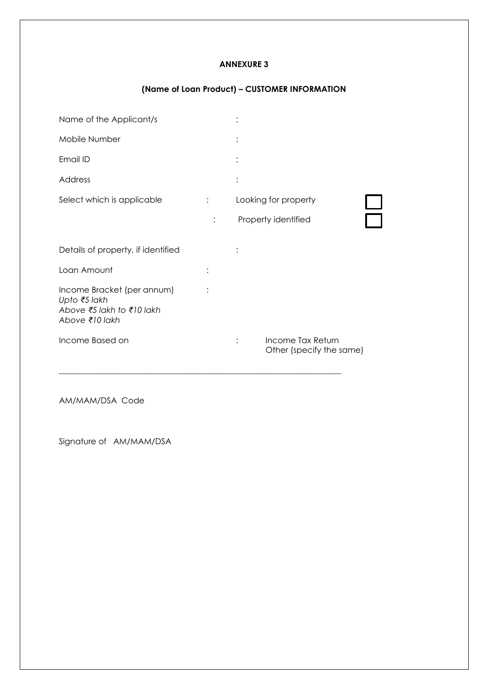#### **ANNEXURE 3**

## **(Name of Loan Product) – CUSTOMER INFORMATION**

| Name of the Applicant/s                                                                   |                      |                                               |  |
|-------------------------------------------------------------------------------------------|----------------------|-----------------------------------------------|--|
| Mobile Number                                                                             | ٠                    |                                               |  |
| Email ID                                                                                  | $\bullet$            |                                               |  |
| Address                                                                                   | $\bullet$            |                                               |  |
| Select which is applicable                                                                |                      | Looking for property                          |  |
|                                                                                           |                      | Property identified                           |  |
| Details of property, if identified                                                        |                      |                                               |  |
| Loan Amount                                                                               |                      |                                               |  |
| Income Bracket (per annum)<br>Upto ₹5 lakh<br>Above ₹5 lakh to ₹10 lakh<br>Above ₹10 lakh |                      |                                               |  |
| Income Based on                                                                           | $\ddot{\phantom{a}}$ | Income Tax Return<br>Other (specify the same) |  |

\_\_\_\_\_\_\_\_\_\_\_\_\_\_\_\_\_\_\_\_\_\_\_\_\_\_\_\_\_\_\_\_\_\_\_\_\_\_\_\_\_\_\_\_\_\_\_\_\_\_\_\_\_\_\_\_\_\_\_\_\_\_\_\_\_\_\_\_\_

AM/MAM/DSA Code

Signature of AM/MAM/DSA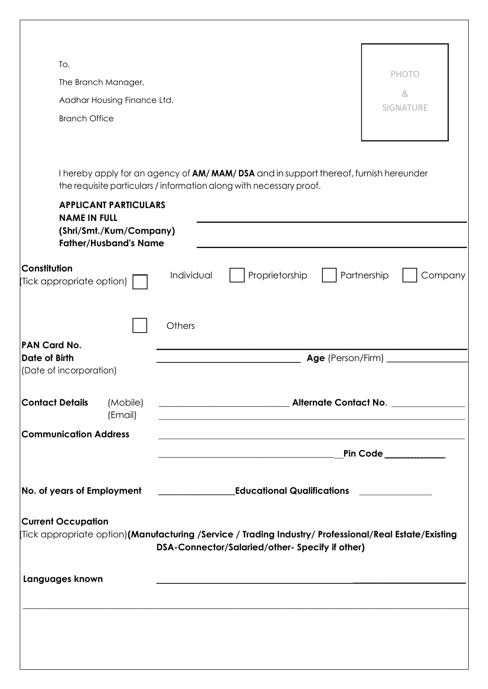| To,                                       |                              |            |                                                                                                                                                                                                                                          |                   |                                                                                                       |
|-------------------------------------------|------------------------------|------------|------------------------------------------------------------------------------------------------------------------------------------------------------------------------------------------------------------------------------------------|-------------------|-------------------------------------------------------------------------------------------------------|
|                                           | The Branch Manager,          |            |                                                                                                                                                                                                                                          |                   | <b>PHOTO</b>                                                                                          |
|                                           | Aadhar Housing Finance Ltd.  |            |                                                                                                                                                                                                                                          |                   | &<br><b>SIGNATURE</b>                                                                                 |
| <b>Branch Office</b>                      |                              |            |                                                                                                                                                                                                                                          |                   |                                                                                                       |
|                                           |                              |            |                                                                                                                                                                                                                                          |                   |                                                                                                       |
|                                           |                              |            |                                                                                                                                                                                                                                          |                   |                                                                                                       |
|                                           |                              |            | I hereby apply for an agency of AM/MAM/DSA and in support thereof, furnish hereunder<br>the requisite particulars / information along with necessary proof.                                                                              |                   |                                                                                                       |
|                                           | <b>APPLICANT PARTICULARS</b> |            |                                                                                                                                                                                                                                          |                   |                                                                                                       |
| <b>NAME IN FULL</b>                       | (Shri/Smt./Kum/Company)      |            |                                                                                                                                                                                                                                          |                   |                                                                                                       |
|                                           | <b>Father/Husband's Name</b> |            |                                                                                                                                                                                                                                          |                   |                                                                                                       |
| Constitution<br>(Tick appropriate option) |                              | Individual | Proprietorship                                                                                                                                                                                                                           |                   | Partnership<br>Company                                                                                |
|                                           |                              | Others     |                                                                                                                                                                                                                                          |                   |                                                                                                       |
| PAN Card No.<br><b>Date of Birth</b>      |                              |            |                                                                                                                                                                                                                                          | Age (Person/Firm) |                                                                                                       |
| (Date of incorporation)                   |                              |            |                                                                                                                                                                                                                                          |                   |                                                                                                       |
| <b>Contact Details</b>                    | (Mobile)<br>(Email)          |            | <u> 1989 - Johann Stoff, deutscher Stoff, der Stoff, der Stoff, der Stoff, der Stoff, der Stoff, der Stoff, der S</u>                                                                                                                    |                   |                                                                                                       |
| <b>Communication Address</b>              |                              |            |                                                                                                                                                                                                                                          |                   |                                                                                                       |
|                                           |                              |            | and the control of the control of the control of the control of the control of the control of the control of the<br><u> 1989 - Johann Barbara, margaret e populazion del proporcione del control de la proporcional de la proporcion</u> |                   | Pin Code $\_\_$                                                                                       |
|                                           |                              |            |                                                                                                                                                                                                                                          |                   |                                                                                                       |
| No. of years of Employment                |                              |            | <b>Educational Qualifications</b>                                                                                                                                                                                                        |                   |                                                                                                       |
| <b>Current Occupation</b>                 |                              |            |                                                                                                                                                                                                                                          |                   |                                                                                                       |
|                                           |                              |            | DSA-Connector/Salaried/other- Specify if other)                                                                                                                                                                                          |                   | Tick appropriate option)(Manufacturing /Service / Trading Industry/ Professional/Real Estate/Existing |
|                                           |                              |            |                                                                                                                                                                                                                                          |                   |                                                                                                       |
| Languages known                           |                              |            |                                                                                                                                                                                                                                          |                   |                                                                                                       |
|                                           |                              |            |                                                                                                                                                                                                                                          |                   |                                                                                                       |
|                                           |                              |            |                                                                                                                                                                                                                                          |                   |                                                                                                       |
|                                           |                              |            |                                                                                                                                                                                                                                          |                   |                                                                                                       |
|                                           |                              |            |                                                                                                                                                                                                                                          |                   |                                                                                                       |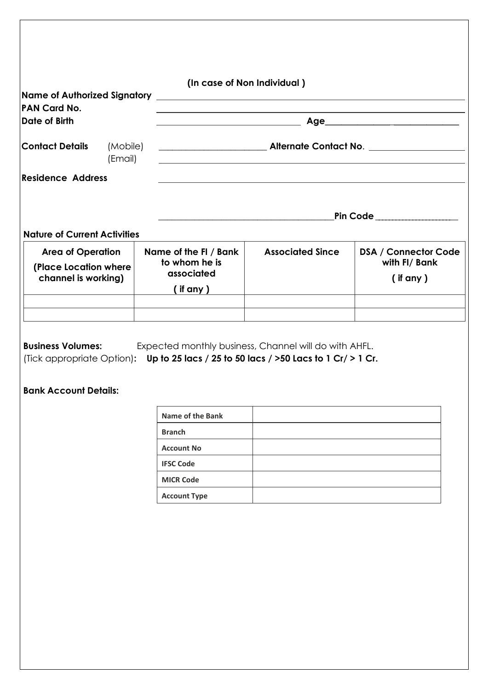| PAN Card No.                        |         | (In case of Non Individual)                            |                                                                                                                     |                              |
|-------------------------------------|---------|--------------------------------------------------------|---------------------------------------------------------------------------------------------------------------------|------------------------------|
| Date of Birth                       |         | <u> 1989 - Jan Barnett, fransk politiker (d. 1989)</u> |                                                                                                                     |                              |
| <b>Contact Details</b>              | (Email) |                                                        | <u> 1980 - Johann Barn, amerikan bestemanns og forskellige og større og større og større og større og større og</u> |                              |
| <b>Residence Address</b>            |         |                                                        |                                                                                                                     |                              |
|                                     |         |                                                        |                                                                                                                     | Pin Code ___________________ |
| <b>Nature of Current Activities</b> |         |                                                        |                                                                                                                     |                              |
|                                     |         | Name of the FI / Bank                                  | <b>Associated Since</b>                                                                                             | <b>DSA / Connector Code</b>  |

| <b>Business Volumes:</b> | Expected monthly business, Channel will do with AHFL.                                     |
|--------------------------|-------------------------------------------------------------------------------------------|
|                          | (Tick appropriate Option): Up to 25 lacs / 25 to 50 lacs / $>$ 50 lacs to 1 Cr/ $>$ 1 Cr. |

## **Bank Account Details:**

| Name of the Bank    |  |
|---------------------|--|
| <b>Branch</b>       |  |
| <b>Account No</b>   |  |
| <b>IFSC Code</b>    |  |
| <b>MICR Code</b>    |  |
| <b>Account Type</b> |  |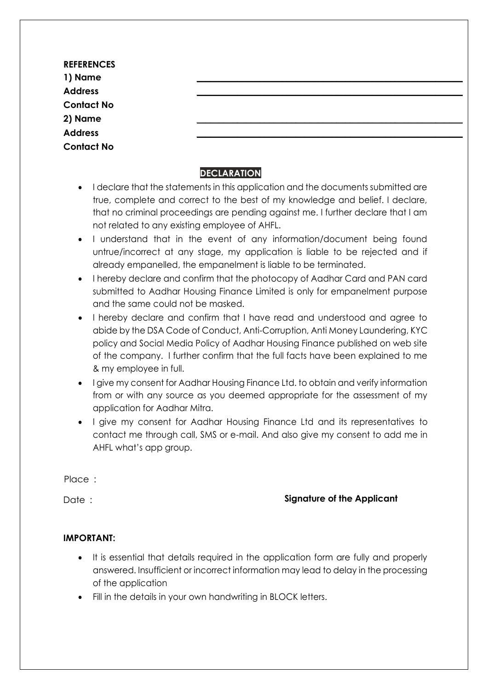| <b>REFERENCES</b><br>1) Name<br><b>Address</b><br><b>Contact No</b><br>2) Name<br><b>Address</b> |  |  |
|--------------------------------------------------------------------------------------------------|--|--|
|                                                                                                  |  |  |
|                                                                                                  |  |  |
|                                                                                                  |  |  |
|                                                                                                  |  |  |
|                                                                                                  |  |  |
|                                                                                                  |  |  |
| <b>Contact No</b>                                                                                |  |  |

## **DECLARATION**

- I declare that the statements in this application and the documents submitted are true, complete and correct to the best of my knowledge and belief. I declare, that no criminal proceedings are pending against me. I further declare that I am not related to any existing employee of AHFL.
- I understand that in the event of any information/document being found untrue/incorrect at any stage, my application is liable to be rejected and if already empanelled, the empanelment is liable to be terminated.
- I hereby declare and confirm that the photocopy of Aadhar Card and PAN card submitted to Aadhar Housing Finance Limited is only for empanelment purpose and the same could not be masked.
- I hereby declare and confirm that I have read and understood and agree to abide by the DSA Code of Conduct, Anti-Corruption, Anti Money Laundering, KYC policy and Social Media Policy of Aadhar Housing Finance published on web site of the company. I further confirm that the full facts have been explained to me & my employee in full.
- I give my consent for Aadhar Housing Finance Ltd. to obtain and verify information from or with any source as you deemed appropriate for the assessment of my application for Aadhar Mitra.
- I give my consent for Aadhar Housing Finance Ltd and its representatives to contact me through call, SMS or e-mail. And also give my consent to add me in AHFL what's app group.

Place :

## Date : **Signature of the Applicant**

## **IMPORTANT:**

- It is essential that details required in the application form are fully and properly answered. Insufficient or incorrect information may lead to delay in the processing of the application
- Fill in the details in your own handwriting in BLOCK letters.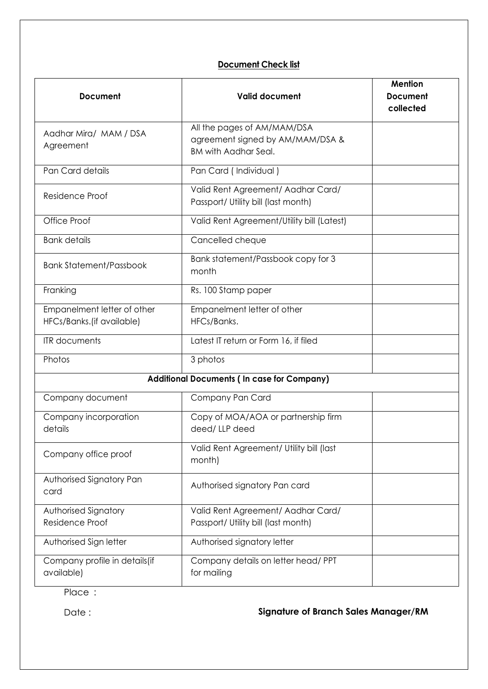## **Document Check list**

| <b>Document</b>                                          | <b>Valid document</b>                                                                          | <b>Mention</b><br><b>Document</b><br>collected |
|----------------------------------------------------------|------------------------------------------------------------------------------------------------|------------------------------------------------|
| Aadhar Mira/ MAM / DSA<br>Agreement                      | All the pages of AM/MAM/DSA<br>agreement signed by AM/MAM/DSA &<br><b>BM with Aadhar Seal.</b> |                                                |
| Pan Card details                                         | Pan Card (Individual)                                                                          |                                                |
| Residence Proof                                          | Valid Rent Agreement/ Aadhar Card/<br>Passport/ Utility bill (last month)                      |                                                |
| Office Proof                                             | Valid Rent Agreement/Utility bill (Latest)                                                     |                                                |
| <b>Bank details</b>                                      | Cancelled cheque                                                                               |                                                |
| <b>Bank Statement/Passbook</b>                           | Bank statement/Passbook copy for 3<br>month                                                    |                                                |
| Franking                                                 | Rs. 100 Stamp paper                                                                            |                                                |
| Empanelment letter of other<br>HFCs/Banks.(if available) | Empanelment letter of other<br>HFCs/Banks.                                                     |                                                |
| <b>ITR</b> documents                                     | Latest IT return or Form 16, if filed                                                          |                                                |
| Photos                                                   | 3 photos                                                                                       |                                                |
|                                                          | <b>Additional Documents (In case for Company)</b>                                              |                                                |
| Company document                                         | Company Pan Card                                                                               |                                                |
| Company incorporation<br>details                         | Copy of MOA/AOA or partnership firm<br>deed/LLP deed                                           |                                                |
| Company office proof                                     | Valid Rent Agreement/ Utility bill (last<br>month)                                             |                                                |
| Authorised Signatory Pan<br>card                         | Authorised signatory Pan card                                                                  |                                                |
| Authorised Signatory                                     | Valid Rent Agreement/ Aadhar Card/                                                             |                                                |
| Residence Proof                                          | Passport/ Utility bill (last month)                                                            |                                                |
| Authorised Sign letter                                   | Authorised signatory letter                                                                    |                                                |
| Company profile in details(if<br>available)              | Company details on letter head/ PPT<br>for mailing                                             |                                                |

Place :

## Date : **Signature of Branch Sales Manager/RM**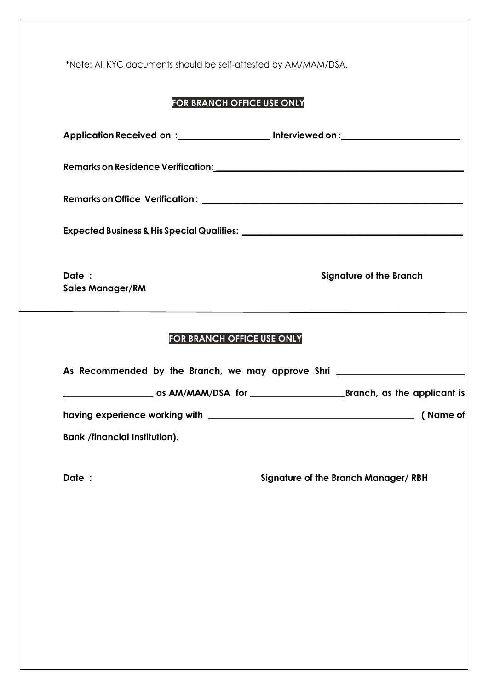\*Note: All KYC documents should be self-attested by AM/MAM/DSA.

# **FOR BRANCH OFFICE USE ONLY**

|                                      | Application Received on :_______________________ Interviewed on :________________ |
|--------------------------------------|-----------------------------------------------------------------------------------|
|                                      |                                                                                   |
|                                      |                                                                                   |
|                                      |                                                                                   |
| Date :<br><b>Sales Manager/RM</b>    | <b>Signature of the Branch</b>                                                    |
| FOR BRANCH OFFICE USE ONLY           |                                                                                   |
|                                      | As Recommended by the Branch, we may approve Shri ______________________________  |
|                                      |                                                                                   |
|                                      |                                                                                   |
| <b>Bank /financial Institution).</b> |                                                                                   |
| Date :                               | Signature of the Branch Manager/RBH                                               |